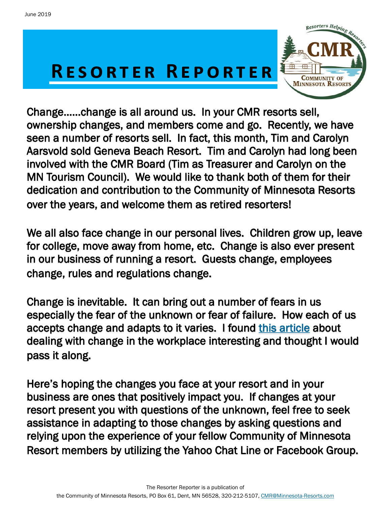# **RESORTER REPORTER**



 ownership changes, and members come and go. Recently, we have Change……change is all around us. In your CMR resorts sell, seen a number of resorts sell. In fact, this month, Tim and Carolyn Aarsvold sold Geneva Beach Resort. Tim and Carolyn had long been involved with the CMR Board (Tim as Treasurer and Carolyn on the MN Tourism Council). We would like to thank both of them for their dedication and contribution to the Community of Minnesota Resorts over the years, and welcome them as retired resorters!

We all also face change in our personal lives. Children grow up, leave for college, move away from home, etc. Change is also ever present in our business of running a resort. Guests change, employees change, rules and regulations change.

Change is inevitable. It can bring out a number of fears in us especially the fear of the unknown or fear of failure. How each of us accepts change and adapts to it varies. I found [this article a](https://www.linkedin.com/pulse/10-tips-dealing-change-positively-your-workplace-ban-weston)bout dealing with change in the workplace interesting and thought I would pass it along.

Here's hoping the changes you face at your resort and in your business are ones that positively impact you. If changes at your resort present you with questions of the unknown, feel free to seek assistance in adapting to those changes by asking questions and relying upon the experience of your fellow Community of Minnesota Resort members by utilizing the Yahoo Chat Line or Facebook Group.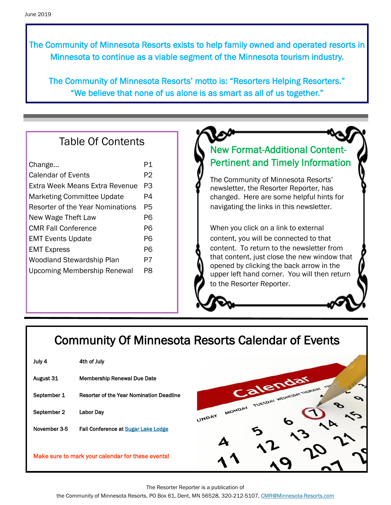The Community of Minnesota Resorts exists to help family owned and operated resorts in Minnesota to continue as a viable segment of the Minnesota tourism industry.

The Community of Minnesota Resorts' motto is: "Resorters Helping Resorters." "We believe that none of us alone is as smart as all of us together."

# Table Of Contents

| Change                             | P1 |  |
|------------------------------------|----|--|
| <b>Calendar of Events</b>          |    |  |
| Extra Week Means Extra Revenue     | PЗ |  |
| <b>Marketing Committee Update</b>  | P4 |  |
| Resorter of the Year Nominations   | P5 |  |
| New Wage Theft Law                 | P6 |  |
| <b>CMR Fall Conference</b>         | P6 |  |
| <b>EMT Events Update</b>           |    |  |
| <b>EMT Express</b>                 | P6 |  |
| <b>Woodland Stewardship Plan</b>   | P7 |  |
| <b>Upcoming Membership Renewal</b> | PЯ |  |

# New Format-Additional Content-Pertinent and Timely Information

The Community of Minnesota Resorts' newsletter, the Resorter Reporter, has changed. Here are some helpful hints for navigating the links in this newsletter.

When you click on a link to external content, you will be connected to that content. To return to the newsletter from that content, just close the new window that opened by clicking the back arrow in the upper left hand corner. You will then return to the Resorter Reporter.

# Community Of Minnesota Resorts Calendar of Events

| July 4       | 4th of July                                       |                                |
|--------------|---------------------------------------------------|--------------------------------|
| August 31    | <b>Membership Renewal Due Date</b>                |                                |
| September 1  | Resorter of the Year Nomination Deadline          | Calend                         |
| September 2  | <b>Labor Dav</b>                                  | MONDAY TUESDAY WEDNES<br>UNDAY |
| November 3-5 | <b>Fall Conference at Sugar Lake Lodge</b>        |                                |
|              | Make sure to mark your calendar for these events! |                                |

The Resorter Reporter is a publication of

the Community of Minnesota Resorts, PO Box 61, Dent, MN 56528, 320-212-5107, [CMR@Minnesota-Resorts.com](mailto:CMR@Minnesota-Resorts.com?subject=Community%20of%20Minnesota%20Resorts)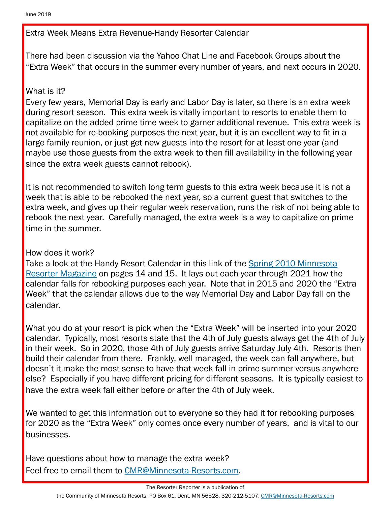Extra Week Means Extra Revenue-Handy Resorter Calendar

There had been discussion via the Yahoo Chat Line and Facebook Groups about the "Extra Week" that occurs in the summer every number of years, and next occurs in 2020.

## What is it?

Every few years, Memorial Day is early and Labor Day is later, so there is an extra week during resort season. This extra week is vitally important to resorts to enable them to capitalize on the added prime time week to garner additional revenue. This extra week is not available for re-booking purposes the next year, but it is an excellent way to fit in a large family reunion, or just get new guests into the resort for at least one year (and maybe use those guests from the extra week to then fill availability in the following year since the extra week guests cannot rebook).

It is not recommended to switch long term guests to this extra week because it is not a week that is able to be rebooked the next year, so a current guest that switches to the extra week, and gives up their regular week reservation, runs the risk of not being able to rebook the next year. Carefully managed, the extra week is a way to capitalize on prime time in the summer.

## How does it work?

Take a look at the Handy Resort Calendar in this link of the [Spring 2010 Minnesota](https://minnesota-resorts.com/wp-content/uploads/resorters/Vol%2026%20No%202%20-%20Spring%202010%20Interactive/FLASH/index.html?page=14)  [Resorter Magazine](https://minnesota-resorts.com/wp-content/uploads/resorters/Vol%2026%20No%202%20-%20Spring%202010%20Interactive/FLASH/index.html?page=14) on pages 14 and 15. It lays out each year through 2021 how the calendar falls for rebooking purposes each year. Note that in 2015 and 2020 the "Extra Week" that the calendar allows due to the way Memorial Day and Labor Day fall on the calendar.

What you do at your resort is pick when the "Extra Week" will be inserted into your 2020 calendar. Typically, most resorts state that the 4th of July guests always get the 4th of July in their week. So in 2020, those 4th of July guests arrive Saturday July 4th. Resorts then build their calendar from there. Frankly, well managed, the week can fall anywhere, but doesn't it make the most sense to have that week fall in prime summer versus anywhere else? Especially if you have different pricing for different seasons. It is typically easiest to have the extra week fall either before or after the 4th of July week.

We wanted to get this information out to everyone so they had it for rebooking purposes for 2020 as the "Extra Week" only comes once every number of years, and is vital to our businesses.

Have questions about how to manage the extra week? Feel free to email them to [CMR@Minnesota-Resorts.com.](mailto:CMR@Minnesota-Resorts.com?subject=Extra%20Week)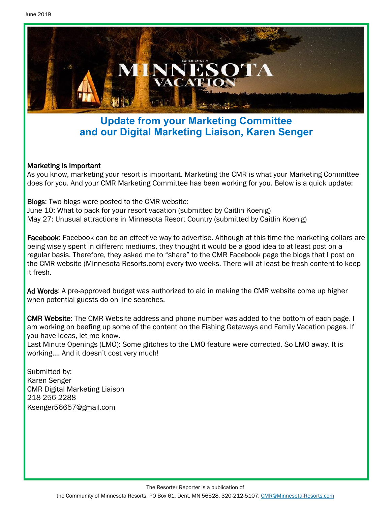

# **Update from your Marketing Committee and our Digital Marketing Liaison, Karen Senger**

### Marketing is Important

As you know, marketing your resort is important. Marketing the CMR is what your Marketing Committee does for you. And your CMR Marketing Committee has been working for you. Below is a quick update:

Blogs: Two blogs were posted to the CMR website: June 10: What to pack for your resort vacation (submitted by Caitlin Koenig) May 27: Unusual attractions in Minnesota Resort Country (submitted by Caitlin Koenig)

Facebook: Facebook can be an effective way to advertise. Although at this time the marketing dollars are being wisely spent in different mediums, they thought it would be a good idea to at least post on a regular basis. Therefore, they asked me to "share" to the CMR Facebook page the blogs that I post on the CMR website (Minnesota-Resorts.com) every two weeks. There will at least be fresh content to keep it fresh.

Ad Words: A pre-approved budget was authorized to aid in making the CMR website come up higher when potential guests do on-line searches.

CMR Website: The CMR Website address and phone number was added to the bottom of each page. I am working on beefing up some of the content on the Fishing Getaways and Family Vacation pages. If you have ideas, let me know.

Last Minute Openings (LMO): Some glitches to the LMO feature were corrected. So LMO away. It is working…. And it doesn't cost very much!

Submitted by: Karen Senger CMR Digital Marketing Liaison 218-256-2288 Ksenger56657@gmail.com

The Resorter Reporter is a publication of

the Community of Minnesota Resorts, PO Box 61, Dent, MN 56528, 320-212-5107, [CMR@Minnesota-Resorts.com](mailto:CMR@Minnesota-Resorts.com?subject=Community%20of%20Minnesota%20Resorts)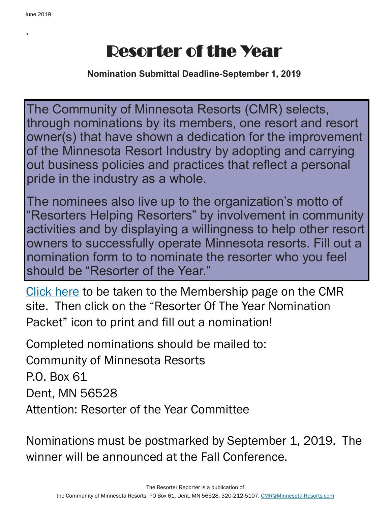.

# Resorter of the Year

**Nomination Submittal Deadline-September 1, 2019**

The Community of Minnesota Resorts (CMR) selects, through nominations by its members, one resort and resort owner(s) that have shown a dedication for the improvement of the Minnesota Resort Industry by adopting and carrying out business policies and practices that reflect a personal pride in the industry as a whole.

The nominees also live up to the organization's motto of "Resorters Helping Resorters" by involvement in community activities and by displaying a willingness to help other resort owners to successfully operate Minnesota resorts. Fill out a nomination form to to nominate the resorter who you feel should be "Resorter of the Year."

[Click here](https://minnesota-resorts.com/membership/) to be taken to the Membership page on the CMR site. Then click on the "Resorter Of The Year Nomination Packet" icon to print and fill out a nomination!

Completed nominations should be mailed to: Community of Minnesota Resorts P.O. Box 61 Dent, MN 56528 Attention: Resorter of the Year Committee

Nominations must be postmarked by September 1, 2019. The winner will be announced at the Fall Conference.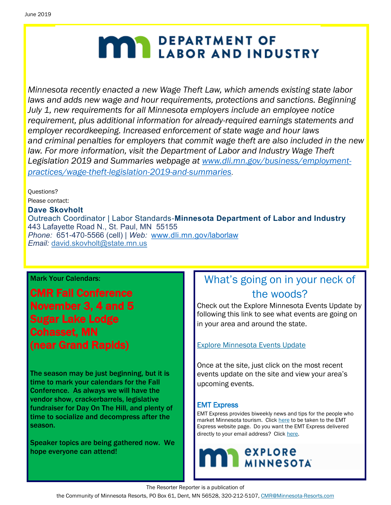# **MAY DEPARTMENT OF LABOR AND INDUSTRY**

*Minnesota recently enacted a new Wage Theft Law, which amends existing state labor laws and adds new wage and hour requirements, protections and sanctions. Beginning July 1, new requirements for all Minnesota employers include an employee notice requirement, plus additional information for already-required earnings statements and employer recordkeeping. Increased enforcement of state wage and hour laws and criminal penalties for employers that commit wage theft are also included in the new law. For more information, visit the Department of Labor and Industry Wage Theft Legislation 2019 and Summaries webpage at [www.dli.mn.gov/business/employment](http://www.dli.mn.gov/business/employment-practices/wage-theft-legislation-2019-and-summaries)[practices/wage-theft-legislation-2019-and-summaries](http://www.dli.mn.gov/business/employment-practices/wage-theft-legislation-2019-and-summaries)*.

Questions? Please contact:

#### **Dave Skovholt**

Outreach Coordinator | Labor Standards-**Minnesota Department of Labor and Industry** 443 Lafayette Road N., St. Paul, MN 55155 *Phone:* 651-470-5566 (cell) | *Web:* [www.dli.mn.gov/laborlaw](http://www.dli.mn.gov/laborlaw) *Email:* [david.skovholt@state.mn.us](mailto:david.skovholt@state.mn.us)

### Mark Your Calendars:

CMR Fall Conference November 3, 4 and 5 Sugar Lake Lodge Cohasset, MN (near Grand Rapids)

The season may be just beginning, but it is time to mark your calendars for the Fall Conference. As always we will have the vendor show, crackerbarrels, legislative fundraiser for Day On The Hill, and plenty of time to socialize and decompress after the season.

Speaker topics are being gathered now. We hope everyone can attend!

# What's going on in your neck of the woods?

Check out the Explore Minnesota Events Update by following this link to see what events are going on in your area and around the state.

### [Explore Minnesota Events Update](http://www.exploreminnesota.com/newsletter-sign-up/reports/events-report/)

Once at the site, just click on the most recent events update on the site and view your area's upcoming events.

### EMT Express

EMT Express provides biweekly news and tips for the people who market Minnesota tourism. Click [here](https://mn.gov/tourism-industry/resources/emt-express/emt-express-past-editions.jsp) to be taken to the EMT Express website page. Do you want the EMT Express delivered directly to your email address? Click [here.](https://mn.gov/tourism-industry/)



The Resorter Reporter is a publication of

the Community of Minnesota Resorts, PO Box 61, Dent, MN 56528, 320-212-5107, [CMR@Minnesota-Resorts.com](mailto:CMR@Minnesota-Resorts.com?subject=Community%20of%20Minnesota%20Resorts)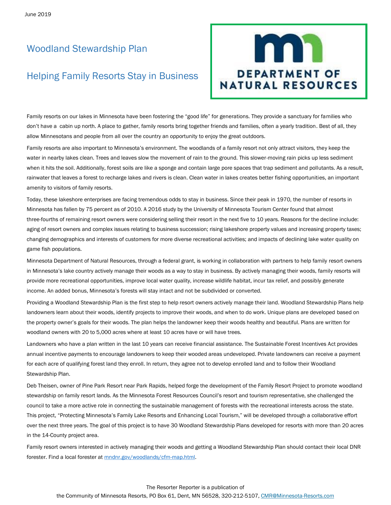## Woodland Stewardship Plan

### Helping Family Resorts Stay in Business



Family resorts on our lakes in Minnesota have been fostering the "good life" for generations. They provide a sanctuary for families who don't have a cabin up north. A place to gather, family resorts bring together friends and families, often a yearly tradition. Best of all, they allow Minnesotans and people from all over the country an opportunity to enjoy the great outdoors.

Family resorts are also important to Minnesota's environment. The woodlands of a family resort not only attract visitors, they keep the water in nearby lakes clean. Trees and leaves slow the movement of rain to the ground. This slower-moving rain picks up less sediment when it hits the soil. Additionally, forest soils are like a sponge and contain large pore spaces that trap sediment and pollutants. As a result, rainwater that leaves a forest to recharge lakes and rivers is clean. Clean water in lakes creates better fishing opportunities, an important amenity to visitors of family resorts.

Today, these lakeshore enterprises are facing tremendous odds to stay in business. Since their peak in 1970, the number of resorts in Minnesota has fallen by 75 percent as of 2010. A 2016 study by the University of Minnesota Tourism Center found that almost three-fourths of remaining resort owners were considering selling their resort in the next five to 10 years. Reasons for the decline include: aging of resort owners and complex issues relating to business succession; rising lakeshore property values and increasing property taxes; changing demographics and interests of customers for more diverse recreational activities; and impacts of declining lake water quality on game fish populations.

Minnesota Department of Natural Resources, through a federal grant, is working in collaboration with partners to help family resort owners in Minnesota's lake country actively manage their woods as a way to stay in business. By actively managing their woods, family resorts will provide more recreational opportunities, improve local water quality, increase wildlife habitat, incur tax relief, and possibly generate income. An added bonus, Minnesota's forests will stay intact and not be subdivided or converted.

Providing a Woodland Stewardship Plan is the first step to help resort owners actively manage their land. Woodland Stewardship Plans help landowners learn about their woods, identify projects to improve their woods, and when to do work. Unique plans are developed based on the property owner's goals for their woods. The plan helps the landowner keep their woods healthy and beautiful. Plans are written for woodland owners with 20 to 5,000 acres where at least 10 acres have or will have trees.

Landowners who have a plan written in the last 10 years can receive financial assistance. The Sustainable Forest Incentives Act provides annual incentive payments to encourage landowners to keep their wooded areas undeveloped. Private landowners can receive a payment for each acre of qualifying forest land they enroll. In return, they agree not to develop enrolled land and to follow their Woodland Stewardship Plan.

Deb Theisen, owner of Pine Park Resort near Park Rapids, helped forge the development of the Family Resort Project to promote woodland stewardship on family resort lands. As the Minnesota Forest Resources Council's resort and tourism representative, she challenged the council to take a more active role in connecting the sustainable management of forests with the recreational interests across the state. This project, "Protecting Minnesota's Family Lake Resorts and Enhancing Local Tourism," will be developed through a collaborative effort over the next three years. The goal of this project is to have 30 Woodland Stewardship Plans developed for resorts with more than 20 acres in the 14-County project area.

Family resort owners interested in actively managing their woods and getting a Woodland Stewardship Plan should contact their local DNR forester. Find a local forester at [mndnr.gov/woodlands/cfm-map.html.](https://www.dnr.state.mn.us/woodlands/cfm-map.html)